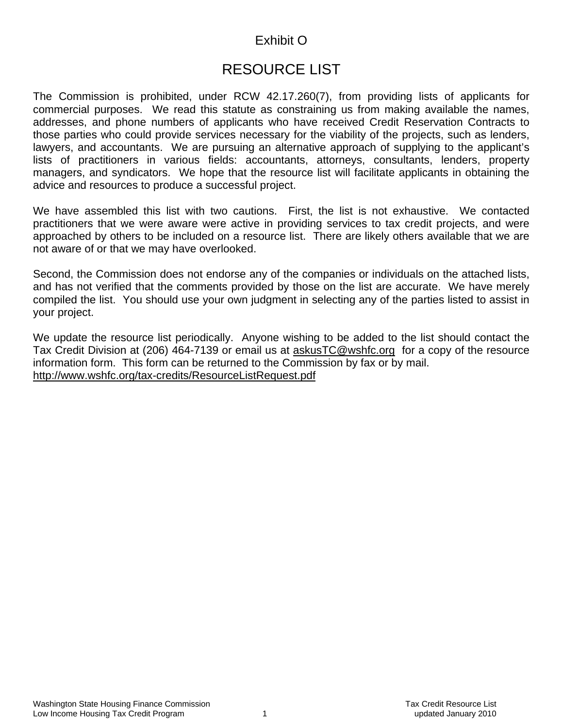# Exhibit O

# RESOURCE LIST

The Commission is prohibited, under RCW 42.17.260(7), from providing lists of applicants for commercial purposes. We read this statute as constraining us from making available the names, addresses, and phone numbers of applicants who have received Credit Reservation Contracts to those parties who could provide services necessary for the viability of the projects, such as lenders, lawyers, and accountants. We are pursuing an alternative approach of supplying to the applicant's lists of practitioners in various fields: accountants, attorneys, consultants, lenders, property managers, and syndicators. We hope that the resource list will facilitate applicants in obtaining the advice and resources to produce a successful project.

We have assembled this list with two cautions. First, the list is not exhaustive. We contacted practitioners that we were aware were active in providing services to tax credit projects, and were approached by others to be included on a resource list. There are likely others available that we are not aware of or that we may have overlooked.

Second, the Commission does not endorse any of the companies or individuals on the attached lists, and has not verified that the comments provided by those on the list are accurate. We have merely compiled the list. You should use your own judgment in selecting any of the parties listed to assist in your project.

We update the resource list periodically. Anyone wishing to be added to the list should contact the Tax Credit Division at (206) 464-7139 or email us at [askusTC@wshfc.org](mailto:askusTC@wshfc.org) for a copy of the resource information form. This form can be returned to the Commission by fax or by mail. <http://www.wshfc.org/tax-credits/ResourceListRequest.pdf>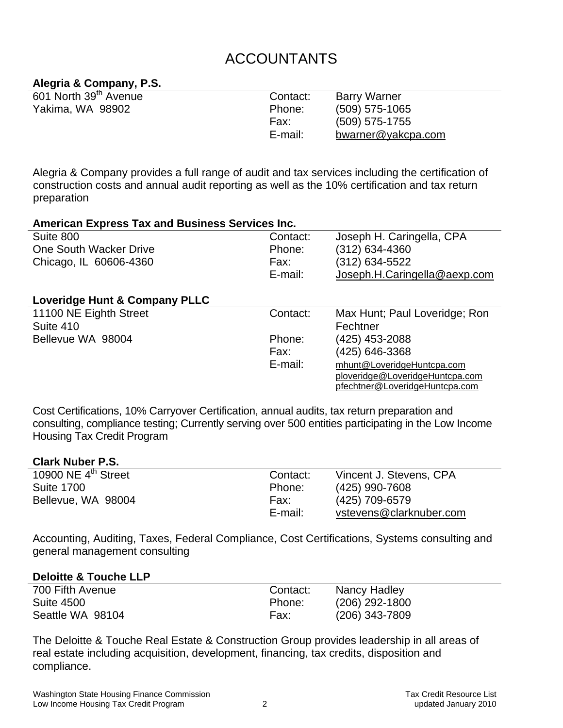# ACCOUNTANTS

# **Alegria & Company, P.S.**

| 601 North 39 <sup>th</sup> Avenue | Contact: | <b>Barry Warner</b> |
|-----------------------------------|----------|---------------------|
| Yakima, WA 98902                  | Phone:   | $(509)$ 575-1065    |
|                                   | Fax:     | $(509)$ 575-1755    |
|                                   | E-mail:  | bwarner@yakcpa.com  |

Alegria & Company provides a full range of audit and tax services including the certification of construction costs and annual audit reporting as well as the 10% certification and tax return preparation

| <b>American Express Tax and Business Services Inc.</b> |          |                                 |
|--------------------------------------------------------|----------|---------------------------------|
| Suite 800                                              | Contact: | Joseph H. Caringella, CPA       |
| One South Wacker Drive                                 | Phone:   | (312) 634-4360                  |
| Chicago, IL 60606-4360                                 | Fax:     | (312) 634-5522                  |
|                                                        | E-mail:  | Joseph.H.Caringella@aexp.com    |
|                                                        |          |                                 |
| Loveridge Hunt & Company PLLC                          |          |                                 |
| 11100 NE Eighth Street                                 | Contact: | Max Hunt; Paul Loveridge; Ron   |
| Suite 410                                              |          | Fechtner                        |
| Bellevue WA 98004                                      | Phone:   | (425) 453-2088                  |
|                                                        | Fax:     | (425) 646-3368                  |
|                                                        | E-mail:  | mhunt@LoveridgeHuntcpa.com      |
|                                                        |          | ploveridge@LoveridgeHuntcpa.com |
|                                                        |          | pfechtner@LoveridgeHuntcpa.com  |

Cost Certifications, 10% Carryover Certification, annual audits, tax return preparation and consulting, compliance testing; Currently serving over 500 entities participating in the Low Income Housing Tax Credit Program

#### **Clark Nuber P.S.**

| 10900 NE $4^{\text{th}}$ Street | Contact: | Vincent J. Stevens, CPA |
|---------------------------------|----------|-------------------------|
| <b>Suite 1700</b>               | Phone:   | (425) 990-7608          |
| Bellevue, WA 98004              | Fax:     | (425) 709-6579          |
|                                 | E-mail:  | vstevens@clarknuber.com |

Accounting, Auditing, Taxes, Federal Compliance, Cost Certifications, Systems consulting and general management consulting

#### **Deloitte & Touche LLP**

| 700 Fifth Avenue | Contact: | Nancy Hadley     |
|------------------|----------|------------------|
| Suite 4500       | Phone:   | $(206)$ 292-1800 |
|                  |          |                  |
| Seattle WA 98104 | Fax:     | $(206)$ 343-7809 |

The Deloitte & Touche Real Estate & Construction Group provides leadership in all areas of real estate including acquisition, development, financing, tax credits, disposition and compliance.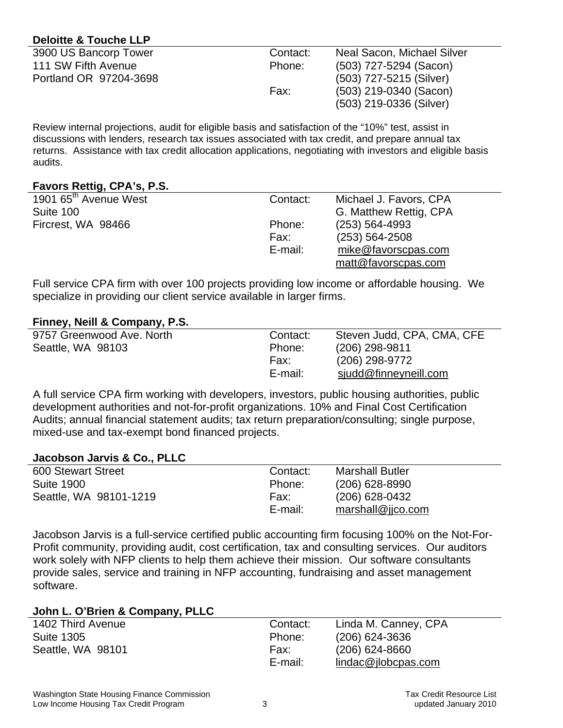# **Deloitte & Touche LLP**

| 3900 US Bancorp Tower  | Contact: | Neal Sacon, Michael Silver |
|------------------------|----------|----------------------------|
| 111 SW Fifth Avenue    | Phone:   | (503) 727-5294 (Sacon)     |
| Portland OR 97204-3698 |          | (503) 727-5215 (Silver)    |
|                        | Fax:     | $(503)$ 219-0340 (Sacon)   |
|                        |          | (503) 219-0336 (Silver)    |

Review internal projections, audit for eligible basis and satisfaction of the "10%" test, assist in discussions with lenders, research tax issues associated with tax credit, and prepare annual tax returns. Assistance with tax credit allocation applications, negotiating with investors and eligible basis audits.

# **Favors Rettig, CPA's, P.S.**

| .                                 |          |                        |
|-----------------------------------|----------|------------------------|
| 1901 65 <sup>th</sup> Avenue West | Contact: | Michael J. Favors, CPA |
| Suite 100                         |          | G. Matthew Rettig, CPA |
| Fircrest, WA 98466                | Phone:   | $(253) 564 - 4993$     |
|                                   | Fax:     | $(253) 564 - 2508$     |
|                                   | E-mail:  | mike@favorscpas.com    |
|                                   |          | matt@favorscpas.com    |
|                                   |          |                        |

Full service CPA firm with over 100 projects providing low income or affordable housing. We specialize in providing our client service available in larger firms.

# **Finney, Neill & Company, P.S.**

| 9757 Greenwood Ave. North | Contact: | Steven Judd, CPA, CMA, CFE |
|---------------------------|----------|----------------------------|
| Seattle, WA 98103         | Phone:   | $(206)$ 298-9811           |
|                           | Fax:     | (206) 298-9772             |
|                           | E-mail:  | sjudd@finneyneill.com      |

A full service CPA firm working with developers, investors, public housing authorities, public development authorities and not-for-profit organizations. 10% and Final Cost Certification Audits; annual financial statement audits; tax return preparation/consulting; single purpose, mixed-use and tax-exempt bond financed projects.

#### **Jacobson Jarvis & Co., PLLC**

| 600 Stewart Street     | Contact: | <b>Marshall Butler</b> |
|------------------------|----------|------------------------|
| <b>Suite 1900</b>      | Phone:   | $(206)$ 628-8990       |
| Seattle, WA 98101-1219 | Fax:     | $(206)$ 628-0432       |
|                        | E-mail:  | marshall@jjco.com      |

Jacobson Jarvis is a full-service certified public accounting firm focusing 100% on the Not-For-Profit community, providing audit, cost certification, tax and consulting services. Our auditors work solely with NFP clients to help them achieve their mission. Our software consultants provide sales, service and training in NFP accounting, fundraising and asset management software.

#### **John L. O'Brien & Company, PLLC**

| 1402 Third Avenue | Contact: | Linda M. Canney, CPA |
|-------------------|----------|----------------------|
| <b>Suite 1305</b> | Phone:   | $(206)$ 624-3636     |
| Seattle, WA 98101 | Fax:     | $(206)$ 624-8660     |
|                   | E-mail:  | lindac@ilobepas.com  |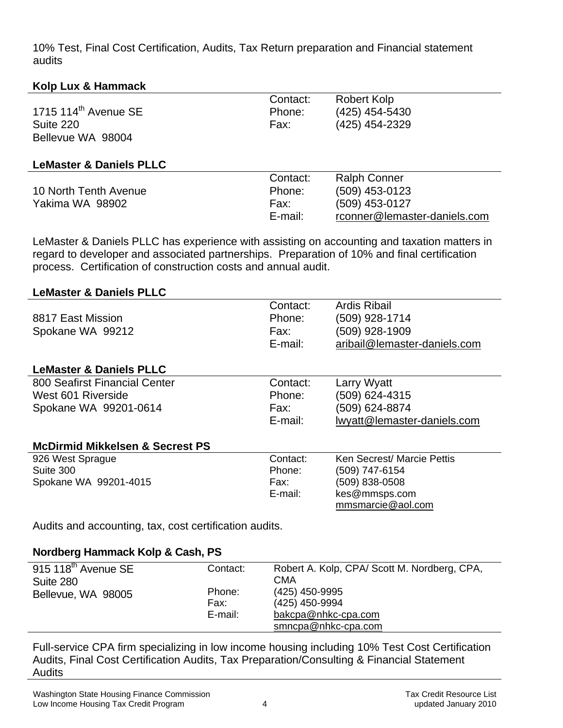10% Test, Final Cost Certification, Audits, Tax Return preparation and Financial statement audits

# **Kolp Lux & Hammack**

| 1715 $114th$ Avenue SE<br>Suite 220<br>Bellevue WA 98004 | Contact:<br>Phone:<br>Fax:            | <b>Robert Kolp</b><br>(425) 454-5430<br>(425) 454-2329                                  |
|----------------------------------------------------------|---------------------------------------|-----------------------------------------------------------------------------------------|
| <b>LeMaster &amp; Daniels PLLC</b>                       |                                       |                                                                                         |
| 10 North Tenth Avenue<br>Yakima WA 98902                 | Contact:<br>Phone:<br>Fax:<br>E-mail: | <b>Ralph Conner</b><br>(509) 453-0123<br>(509) 453-0127<br>rconner@lemaster-daniels.com |

LeMaster & Daniels PLLC has experience with assisting on accounting and taxation matters in regard to developer and associated partnerships. Preparation of 10% and final certification process. Certification of construction costs and annual audit.

# **LeMaster & Daniels PLLC**

| 8817 East Mission<br>Spokane WA 99212                                        | Contact:<br>Phone:<br>Fax:<br>E-mail: | <b>Ardis Ribail</b><br>(509) 928-1714<br>(509) 928-1909<br>aribail@lemaster-daniels.com              |
|------------------------------------------------------------------------------|---------------------------------------|------------------------------------------------------------------------------------------------------|
| <b>LeMaster &amp; Daniels PLLC</b>                                           |                                       |                                                                                                      |
| 800 Seafirst Financial Center<br>West 601 Riverside<br>Spokane WA 99201-0614 | Contact:<br>Phone:<br>Fax:<br>E-mail: | Larry Wyatt<br>(509) 624-4315<br>(509) 624-8874<br>lwyatt@lemaster-daniels.com                       |
| <b>McDirmid Mikkelsen &amp; Secrest PS</b>                                   |                                       |                                                                                                      |
| 926 West Sprague<br>Suite 300<br>Spokane WA 99201-4015                       | Contact:<br>Phone:<br>Fax:<br>E-mail: | Ken Secrest/ Marcie Pettis<br>(509) 747-6154<br>(509) 838-0508<br>kes@mmsps.com<br>mmsmarcie@aol.com |
| Audits and accounting, tax, cost certification audits.                       |                                       |                                                                                                      |

**Nordberg Hammack Kolp & Cash, PS** 

| $915$ 118 <sup>th</sup> Avenue SE<br>Suite 280 | Contact: | Robert A. Kolp, CPA/Scott M. Nordberg, CPA,<br>CMA |
|------------------------------------------------|----------|----------------------------------------------------|
|                                                | Phone:   | (425) 450-9995                                     |
| Bellevue, WA 98005                             | Fax:     | (425) 450-9994                                     |
|                                                |          |                                                    |
|                                                | E-mail:  | bakcpa@nhkc-cpa.com                                |
|                                                |          | smncpa@nhkc-cpa.com                                |
|                                                |          |                                                    |

Full-service CPA firm specializing in low income housing including 10% Test Cost Certification Audits, Final Cost Certification Audits, Tax Preparation/Consulting & Financial Statement **Audits**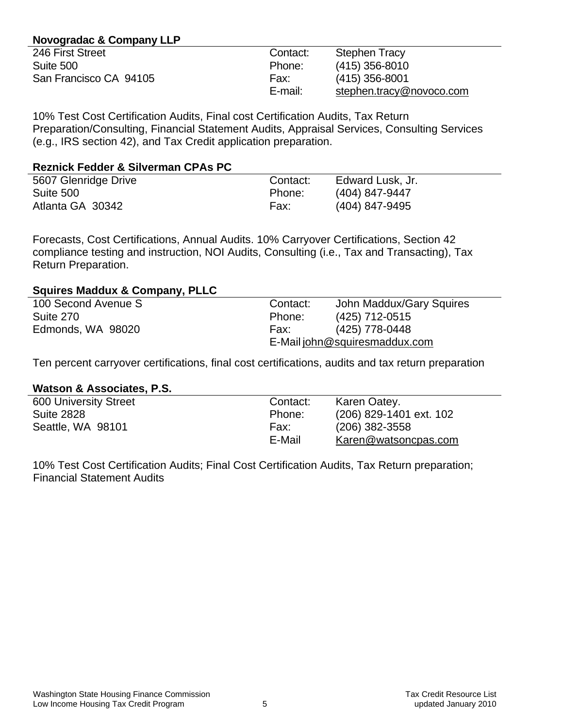# **Novogradac & Company LLP**

| 246 First Street       | Contact: | <b>Stephen Tracy</b>     |
|------------------------|----------|--------------------------|
| Suite 500              | Phone:   | $(415)$ 356-8010         |
| San Francisco CA 94105 | Fax:     | $(415)$ 356-8001         |
|                        | E-mail:  | stephen.tracy@novoco.com |
|                        |          |                          |

10% Test Cost Certification Audits, Final cost Certification Audits, Tax Return Preparation/Consulting, Financial Statement Audits, Appraisal Services, Consulting Services (e.g., IRS section 42), and Tax Credit application preparation.

| <b>Reznick Fedder &amp; Silverman CPAs PC</b> |          |                  |
|-----------------------------------------------|----------|------------------|
| 5607 Glenridge Drive                          | Contact: | Edward Lusk, Jr. |
| Suite 500                                     | Phone:   | (404) 847-9447   |
| Atlanta GA 30342                              | Fax:     | (404) 847-9495   |

Forecasts, Cost Certifications, Annual Audits. 10% Carryover Certifications, Section 42 compliance testing and instruction, NOI Audits, Consulting (i.e., Tax and Transacting), Tax Return Preparation.

# **Squires Maddux & Company, PLLC**

| 100 Second Avenue S | Contact:                      | John Maddux/Gary Squires |
|---------------------|-------------------------------|--------------------------|
| Suite 270           | Phone:                        | (425) 712-0515           |
| Edmonds, WA 98020   | Fax:                          | (425) 778-0448           |
|                     | E-Mail john@squiresmaddux.com |                          |

Ten percent carryover certifications, final cost certifications, audits and tax return preparation

#### **Watson & Associates, P.S.**

| <b>600 University Street</b> | Contact: | Karen Oatey.            |
|------------------------------|----------|-------------------------|
| <b>Suite 2828</b>            | Phone:   | (206) 829-1401 ext. 102 |
| Seattle, WA 98101            | Fax:     | $(206)$ 382-3558        |
|                              | E-Mail   | Karen@watsoncpas.com    |
|                              |          |                         |

10% Test Cost Certification Audits; Final Cost Certification Audits, Tax Return preparation; Financial Statement Audits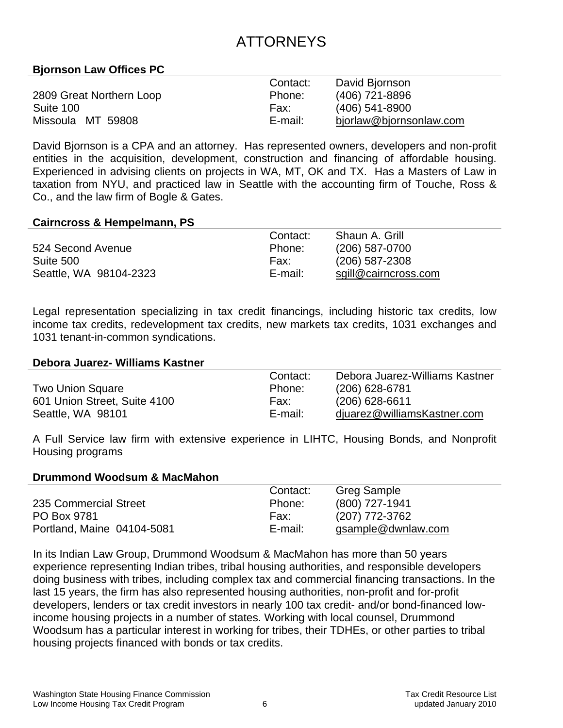# ATTORNEYS

# **Bjornson Law Offices PC**

|                          | Contact: | David Bjornson          |
|--------------------------|----------|-------------------------|
| 2809 Great Northern Loop | Phone:   | (406) 721-8896          |
| Suite 100                | Fax:     | $(406)$ 541-8900        |
| Missoula MT 59808        | E-mail:  | bjorlaw@bjornsonlaw.com |

David Bjornson is a CPA and an attorney. Has represented owners, developers and non-profit entities in the acquisition, development, construction and financing of affordable housing. Experienced in advising clients on projects in WA, MT, OK and TX. Has a Masters of Law in taxation from NYU, and practiced law in Seattle with the accounting firm of Touche, Ross & Co., and the law firm of Bogle & Gates.

#### **Cairncross & Hempelmann, PS**

|                        | Contact: | Shaun A. Grill       |
|------------------------|----------|----------------------|
| 524 Second Avenue      | Phone:   | $(206)$ 587-0700     |
| Suite 500              | Fax:     | $(206)$ 587-2308     |
| Seattle, WA 98104-2323 | E-mail:  | sgill@cairncross.com |

Legal representation specializing in tax credit financings, including historic tax credits, low income tax credits, redevelopment tax credits, new markets tax credits, 1031 exchanges and 1031 tenant-in-common syndications.

#### **Debora Juarez- Williams Kastner**

|                              | Contact: | Debora Juarez-Williams Kastner |
|------------------------------|----------|--------------------------------|
| <b>Two Union Square</b>      | Phone:   | $(206)$ 628-6781               |
| 601 Union Street, Suite 4100 | Fax:     | $(206)$ 628-6611               |
| Seattle, WA 98101            | E-mail:  | djuarez@williamsKastner.com    |

A Full Service law firm with extensive experience in LIHTC, Housing Bonds, and Nonprofit Housing programs

#### **Drummond Woodsum & MacMahon**

|                            | Contact: | Greg Sample        |
|----------------------------|----------|--------------------|
| 235 Commercial Street      | Phone:   | $(800)$ 727-1941   |
| PO Box 9781                | Fax:     | (207) 772-3762     |
| Portland, Maine 04104-5081 | E-mail:  | gsample@dwnlaw.com |

In its Indian Law Group, Drummond Woodsum & MacMahon has more than 50 years experience representing Indian tribes, tribal housing authorities, and responsible developers doing business with tribes, including complex tax and commercial financing transactions. In the last 15 years, the firm has also represented housing authorities, non-profit and for-profit developers, lenders or tax credit investors in nearly 100 tax credit- and/or bond-financed lowincome housing projects in a number of states. Working with local counsel, Drummond Woodsum has a particular interest in working for tribes, their TDHEs, or other parties to tribal housing projects financed with bonds or tax credits.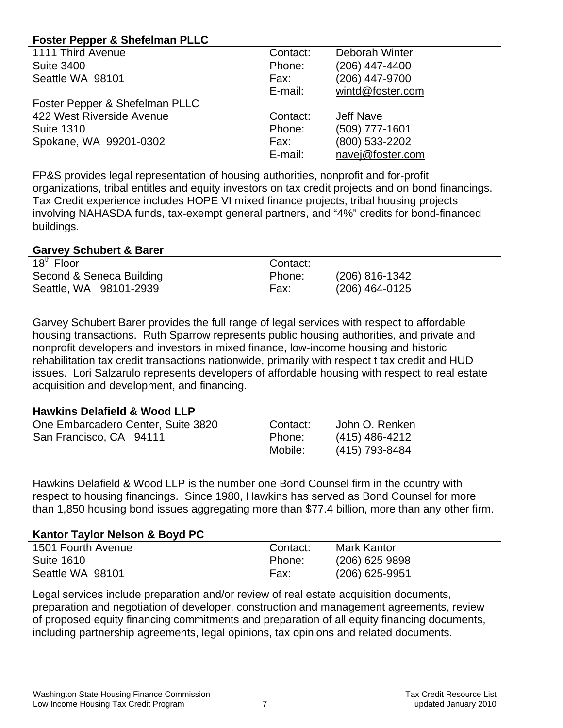# **Foster Pepper & Shefelman PLLC**

| 1111 Third Avenue              | Contact: | Deborah Winter   |
|--------------------------------|----------|------------------|
| <b>Suite 3400</b>              | Phone:   | $(206)$ 447-4400 |
| Seattle WA 98101               | Fax:     | (206) 447-9700   |
|                                | E-mail:  | wintd@foster.com |
| Foster Pepper & Shefelman PLLC |          |                  |
| 422 West Riverside Avenue      | Contact: | Jeff Nave        |
| <b>Suite 1310</b>              | Phone:   | (509) 777-1601   |
| Spokane, WA 99201-0302         | Fax:     | (800) 533-2202   |
|                                | E-mail:  | navej@foster.com |

FP&S provides legal representation of housing authorities, nonprofit and for-profit organizations, tribal entitles and equity investors on tax credit projects and on bond financings. Tax Credit experience includes HOPE VI mixed finance projects, tribal housing projects involving NAHASDA funds, tax-exempt general partners, and "4%" credits for bond-financed buildings.

#### **Garvey Schubert & Barer**

| 18 <sup>th</sup> Floor   | Contact: |                |
|--------------------------|----------|----------------|
| Second & Seneca Building | Phone:   | (206) 816-1342 |
| Seattle, WA 98101-2939   | Fax:     | (206) 464-0125 |

Garvey Schubert Barer provides the full range of legal services with respect to affordable housing transactions. Ruth Sparrow represents public housing authorities, and private and nonprofit developers and investors in mixed finance, low-income housing and historic rehabilitation tax credit transactions nationwide, primarily with respect t tax credit and HUD issues. Lori Salzarulo represents developers of affordable housing with respect to real estate acquisition and development, and financing.

# **Hawkins Delafield & Wood LLP**

| One Embarcadero Center, Suite 3820 | Contact: | John O. Renken   |
|------------------------------------|----------|------------------|
| San Francisco, CA 94111            | Phone:   | $(415)$ 486-4212 |
|                                    | Mobile:  | (415) 793-8484   |

Hawkins Delafield & Wood LLP is the number one Bond Counsel firm in the country with respect to housing financings. Since 1980, Hawkins has served as Bond Counsel for more than 1,850 housing bond issues aggregating more than \$77.4 billion, more than any other firm.

# **Kantor Taylor Nelson & Boyd PC**

| 1501 Fourth Avenue | Contact: | Mark Kantor      |
|--------------------|----------|------------------|
| <b>Suite 1610</b>  | Phone:   | $(206)$ 625 9898 |
| Seattle WA 98101   | Fax:     | $(206)$ 625-9951 |

Legal services include preparation and/or review of real estate acquisition documents, preparation and negotiation of developer, construction and management agreements, review of proposed equity financing commitments and preparation of all equity financing documents, including partnership agreements, legal opinions, tax opinions and related documents.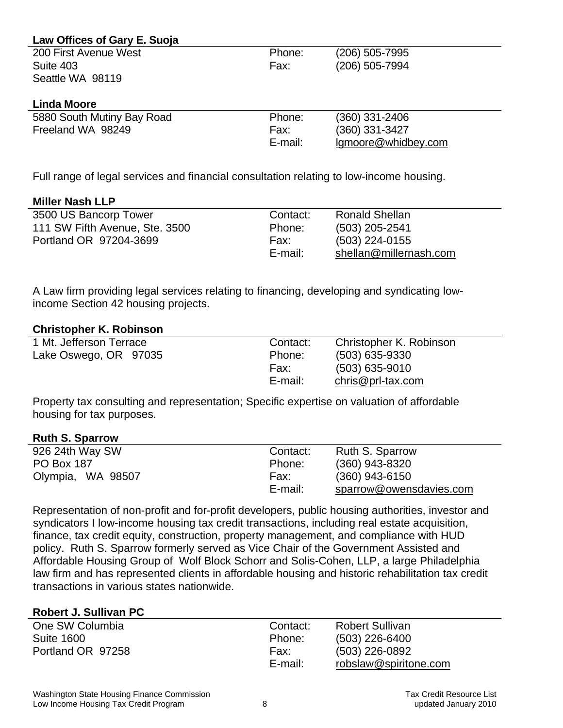| Law Offices of Gary E. Suoja |         |                     |
|------------------------------|---------|---------------------|
| 200 First Avenue West        | Phone:  | (206) 505-7995      |
| Suite 403                    | Fax:    | (206) 505-7994      |
| Seattle WA 98119             |         |                     |
|                              |         |                     |
| <b>Linda Moore</b>           |         |                     |
| 5880 South Mutiny Bay Road   | Phone:  | (360) 331-2406      |
| Freeland WA 98249            | Fax:    | (360) 331-3427      |
|                              | E-mail: | Igmoore@whidbey.com |
|                              |         |                     |

Full range of legal services and financial consultation relating to low-income housing.

# **Miller Nash LLP**

| 3500 US Bancorp Tower          | Contact: | <b>Ronald Shellan</b>  |
|--------------------------------|----------|------------------------|
| 111 SW Fifth Avenue, Ste. 3500 | Phone:   | $(503)$ 205-2541       |
| Portland OR 97204-3699         | Fax:     | $(503)$ 224-0155       |
|                                | E-mail:  | shellan@millernash.com |

A Law firm providing legal services relating to financing, developing and syndicating lowincome Section 42 housing projects.

#### **Christopher K. Robinson**

| 1 Mt. Jefferson Terrace | Contact: | Christopher K. Robinson |
|-------------------------|----------|-------------------------|
| Lake Oswego, OR 97035   | Phone:   | $(503)$ 635-9330        |
|                         | Fax:     | $(503)$ 635-9010        |
|                         | E-mail:  | $chris@prl-tax.com$     |

Property tax consulting and representation; Specific expertise on valuation of affordable housing for tax purposes.

# **Ruth S. Sparrow**

| 926 24th Way SW   | Contact: | Ruth S. Sparrow         |
|-------------------|----------|-------------------------|
| <b>PO Box 187</b> | Phone:   | (360) 943-8320          |
| Olympia, WA 98507 | Fax:     | $(360)$ 943-6150        |
|                   | E-mail:  | sparrow@owensdavies.com |
|                   |          |                         |

Representation of non-profit and for-profit developers, public housing authorities, investor and syndicators I low-income housing tax credit transactions, including real estate acquisition, finance, tax credit equity, construction, property management, and compliance with HUD policy. Ruth S. Sparrow formerly served as Vice Chair of the Government Assisted and Affordable Housing Group of Wolf Block Schorr and Solis-Cohen, LLP, a large Philadelphia law firm and has represented clients in affordable housing and historic rehabilitation tax credit transactions in various states nationwide.

#### **Robert J. Sullivan PC**

| One SW Columbia   | Contact: | <b>Robert Sullivan</b> |
|-------------------|----------|------------------------|
| <b>Suite 1600</b> | Phone:   | $(503)$ 226-6400       |
| Portland OR 97258 | Fax:     | $(503)$ 226-0892       |
|                   | E-mail:  | robslaw@spiritone.com  |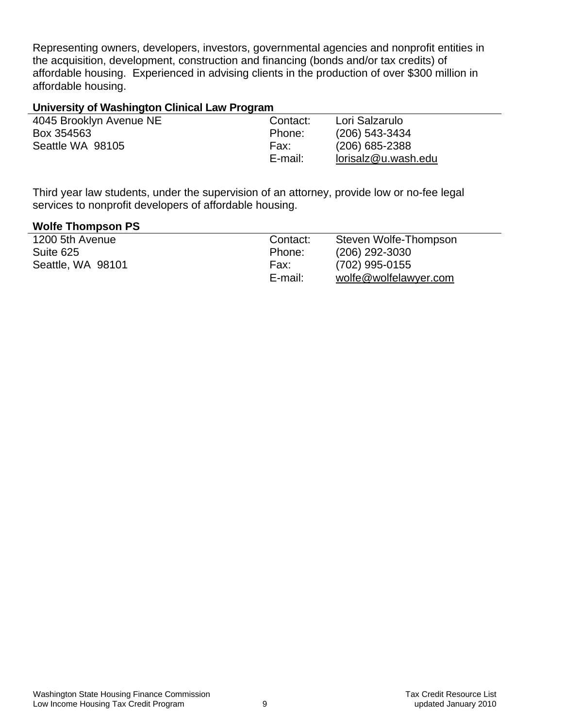Representing owners, developers, investors, governmental agencies and nonprofit entities in the acquisition, development, construction and financing (bonds and/or tax credits) of affordable housing. Experienced in advising clients in the production of over \$300 million in affordable housing.

# **University of Washington Clinical Law Program**

| 4045 Brooklyn Avenue NE | Contact: | Lori Salzarulo      |
|-------------------------|----------|---------------------|
| Box 354563              | Phone:   | $(206)$ 543-3434    |
| Seattle WA 98105        | Fax:     | $(206)$ 685-2388    |
|                         | E-mail:  | lorisalz@u.wash.edu |

Third year law students, under the supervision of an attorney, provide low or no-fee legal services to nonprofit developers of affordable housing.

#### **Wolfe Thompson PS**

| 1200 5th Avenue   | Contact: | Steven Wolfe-Thompson |
|-------------------|----------|-----------------------|
| Suite 625         | Phone:   | $(206)$ 292-3030      |
| Seattle, WA 98101 | Fax:     | (702) 995-0155        |
|                   | E-mail:  | wolfe@wolfelawyer.com |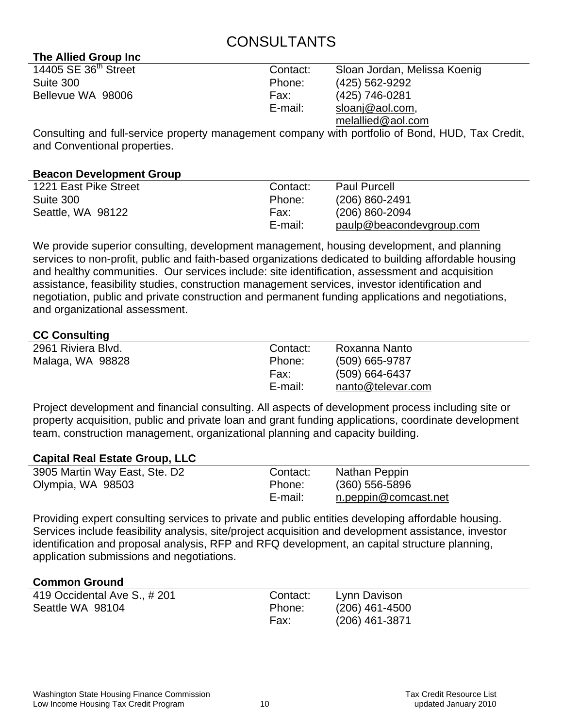# CONSULTANTS

| The Allied Group Inc             |          |                              |  |
|----------------------------------|----------|------------------------------|--|
| 14405 SE 36 <sup>th</sup> Street | Contact: | Sloan Jordan, Melissa Koenig |  |
| Suite 300                        | Phone:   | (425) 562-9292               |  |
| Bellevue WA 98006                | Fax:     | (425) 746-0281               |  |
|                                  | E-mail:  | sloanj@aol.com,              |  |
|                                  |          | melallied@aol.com            |  |

Consulting and full-service property management company with portfolio of Bond, HUD, Tax Credit, and Conventional properties.

# **Beacon Development Group**

**The Allied Group Inc** 

| 1221 East Pike Street | Contact: | <b>Paul Purcell</b>      |
|-----------------------|----------|--------------------------|
| Suite 300             | Phone:   | $(206) 860 - 2491$       |
| Seattle, WA 98122     | Fax:     | $(206)$ 860-2094         |
|                       | E-mail:  | paulp@beacondevgroup.com |
|                       |          |                          |

We provide superior consulting, development management, housing development, and planning services to non-profit, public and faith-based organizations dedicated to building affordable housing and healthy communities. Our services include: site identification, assessment and acquisition assistance, feasibility studies, construction management services, investor identification and negotiation, public and private construction and permanent funding applications and negotiations, and organizational assessment.

# **CC Consulting**

| 2961 Riviera Blvd. | Contact: | Roxanna Nanto     |
|--------------------|----------|-------------------|
| Malaga, WA 98828   | Phone:   | (509) 665-9787    |
|                    | Fax:     | $(509)$ 664-6437  |
|                    | E-mail:  | nanto@televar.com |
|                    |          |                   |

Project development and financial consulting. All aspects of development process including site or property acquisition, public and private loan and grant funding applications, coordinate development team, construction management, organizational planning and capacity building.

# **Capital Real Estate Group, LLC**

| 3905 Martin Way East, Ste. D2 | Contact: | Nathan Peppin        |
|-------------------------------|----------|----------------------|
| Olympia, WA 98503             | Phone:   | $(360)$ 556-5896     |
|                               | E-mail:  | n.peppin@comcast.net |

Providing expert consulting services to private and public entities developing affordable housing. Services include feasibility analysis, site/project acquisition and development assistance, investor identification and proposal analysis, RFP and RFQ development, an capital structure planning, application submissions and negotiations.

# **Common Ground**

| 419 Occidental Ave S., #201 | Contact: | Lynn Davison     |
|-----------------------------|----------|------------------|
| Seattle WA 98104            | Phone:   | $(206)$ 461-4500 |
|                             | Fax:     | (206) 461-3871   |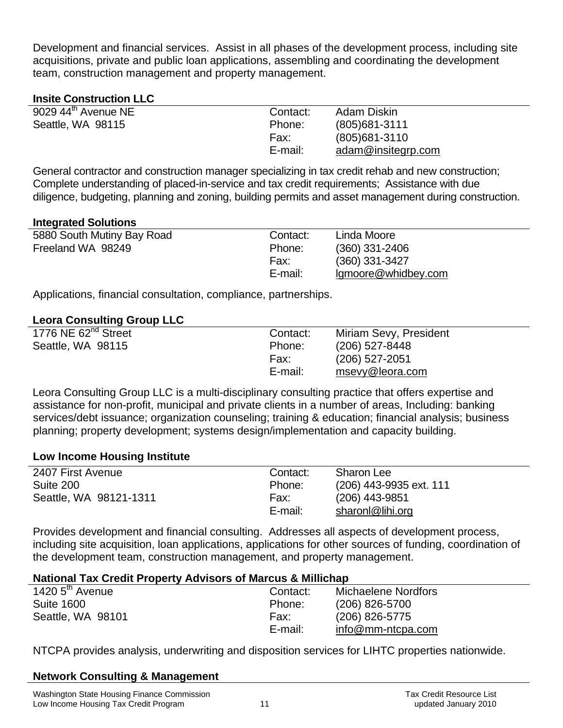Development and financial services. Assist in all phases of the development process, including site acquisitions, private and public loan applications, assembling and coordinating the development team, construction management and property management.

# **Insite Construction LLC**

| $9029$ 44 <sup>th</sup> Avenue NE | Contact: | Adam Diskin        |
|-----------------------------------|----------|--------------------|
| Seattle, WA 98115                 | Phone:   | $(805)681 - 3111$  |
|                                   | Fax:     | $(805)681 - 3110$  |
|                                   | E-mail:  | adam@insitegrp.com |

General contractor and construction manager specializing in tax credit rehab and new construction; Complete understanding of placed-in-service and tax credit requirements; Assistance with due diligence, budgeting, planning and zoning, building permits and asset management during construction.

# **Integrated Solutions**

| 5880 South Mutiny Bay Road | Contact: | Linda Moore         |
|----------------------------|----------|---------------------|
| Freeland WA 98249          | Phone:   | $(360)$ 331-2406    |
|                            | Fax:     | $(360)$ 331-3427    |
|                            | E-mail:  | Igmoore@whidbey.com |

Applications, financial consultation, compliance, partnerships.

# **Leora Consulting Group LLC**

| 1776 NE 62 <sup>nd</sup> Street | Contact: | Miriam Sevy, President |
|---------------------------------|----------|------------------------|
| Seattle, WA 98115               | Phone:   | (206) 527-8448         |
|                                 | Fax:     | $(206)$ 527-2051       |
|                                 | E-mail:  | msevy@leora.com        |

Leora Consulting Group LLC is a multi-disciplinary consulting practice that offers expertise and assistance for non-profit, municipal and private clients in a number of areas, Including: banking services/debt issuance; organization counseling; training & education; financial analysis; business planning; property development; systems design/implementation and capacity building.

# **Low Income Housing Institute**

| 2407 First Avenue      | Contact: | <b>Sharon Lee</b>       |
|------------------------|----------|-------------------------|
| Suite 200              | Phone:   | (206) 443-9935 ext. 111 |
| Seattle, WA 98121-1311 | Fax:     | (206) 443-9851          |
|                        | E-mail:  | sharonl@lihi.org        |

Provides development and financial consulting. Addresses all aspects of development process, including site acquisition, loan applications, applications for other sources of funding, coordination of the development team, construction management, and property management.

# **National Tax Credit Property Advisors of Marcus & Millichap**

| 1420 5 <sup>th</sup> Avenue | Contact: | Michaelene Nordfors        |
|-----------------------------|----------|----------------------------|
| <b>Suite 1600</b>           | Phone:   | (206) 826-5700             |
| Seattle, WA 98101           | Fax:     | (206) 826-5775             |
|                             | E-mail:  | $info@mm\text{-}ntcpa.com$ |

NTCPA provides analysis, underwriting and disposition services for LIHTC properties nationwide.

# **Network Consulting & Management**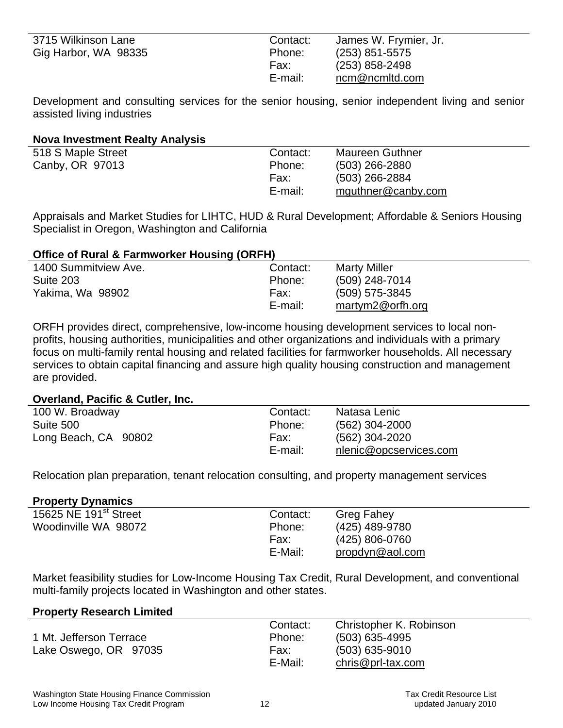| 3715 Wilkinson Lane  | Contact: | James W. Frymier, Jr. |
|----------------------|----------|-----------------------|
| Gig Harbor, WA 98335 | Phone:   | $(253)$ 851-5575      |
|                      | Fax:     | $(253)$ 858-2498      |
|                      | E-mail:  | ncm@ncmltd.com        |

Development and consulting services for the senior housing, senior independent living and senior assisted living industries

### **Nova Investment Realty Analysis**

| 518 S Maple Street | Contact: | <b>Maureen Guthner</b> |
|--------------------|----------|------------------------|
| Canby, OR 97013    | Phone:   | (503) 266-2880         |
|                    | Fax:     | (503) 266-2884         |
|                    | E-mail:  | mguthner@canby.com     |

Appraisals and Market Studies for LIHTC, HUD & Rural Development; Affordable & Seniors Housing Specialist in Oregon, Washington and California

# **Office of Rural & Farmworker Housing (ORFH)**

| 1400 Summitview Ave. | Contact: | <b>Marty Miller</b> |  |
|----------------------|----------|---------------------|--|
| Suite 203            | Phone:   | (509) 248-7014      |  |
| Yakima, Wa 98902     | Fax:     | $(509)$ 575-3845    |  |
|                      | E-mail:  | martym2@orfh.org    |  |

ORFH provides direct, comprehensive, low-income housing development services to local nonprofits, housing authorities, municipalities and other organizations and individuals with a primary focus on multi-family rental housing and related facilities for farmworker households. All necessary services to obtain capital financing and assure high quality housing construction and management are provided.

#### **Overland, Pacific & Cutler, Inc.**

| 100 W. Broadway      | Contact: | Natasa Lenic           |
|----------------------|----------|------------------------|
| Suite 500            | Phone:   | $(562)$ 304-2000       |
| Long Beach, CA 90802 | Fax:     | (562) 304-2020         |
|                      | E-mail:  | nlenic@opcservices.com |

Relocation plan preparation, tenant relocation consulting, and property management services

#### **Property Dynamics**

| 15625 NE 191 <sup>st</sup> Street | Contact: | <b>Greg Fahey</b> |  |
|-----------------------------------|----------|-------------------|--|
| Woodinville WA 98072              | Phone:   | (425) 489-9780    |  |
|                                   | Fax:     | (425) 806-0760    |  |
|                                   | E-Mail:  | propdyn@aol.com   |  |
|                                   |          |                   |  |

Market feasibility studies for Low-Income Housing Tax Credit, Rural Development, and conventional multi-family projects located in Washington and other states.

#### **Property Research Limited**

|                         | Contact: | Christopher K. Robinson |
|-------------------------|----------|-------------------------|
| 1 Mt. Jefferson Terrace | Phone:   | $(503)$ 635-4995        |
| Lake Oswego, OR 97035   | Fax:     | $(503)$ 635-9010        |
|                         | E-Mail:  | $chris@prl-tax.com$     |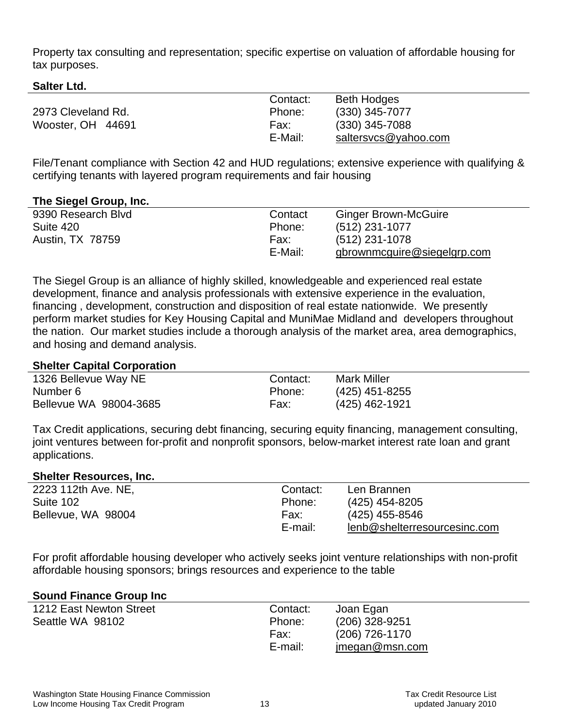Property tax consulting and representation; specific expertise on valuation of affordable housing for tax purposes.

**Salter Ltd.** 

|                    | Contact: | <b>Beth Hodges</b>   |
|--------------------|----------|----------------------|
| 2973 Cleveland Rd. | Phone:   | $(330)$ 345-7077     |
| Wooster, OH 44691  | Fax:     | $(330)$ 345-7088     |
|                    | E-Mail:  | saltersvcs@yahoo.com |

File/Tenant compliance with Section 42 and HUD regulations; extensive experience with qualifying & certifying tenants with layered program requirements and fair housing

# **The Siegel Group, Inc.**

| 9390 Research Blvd | Contact | <b>Ginger Brown-McGuire</b> |
|--------------------|---------|-----------------------------|
| Suite 420          | Phone:  | $(512)$ 231-1077            |
| Austin, TX 78759   | Fax:    | (512) 231-1078              |
|                    | E-Mail: | gbrownmcguire@siegelgrp.com |

The Siegel Group is an alliance of highly skilled, knowledgeable and experienced real estate development, finance and analysis professionals with extensive experience in the evaluation, financing , development, construction and disposition of real estate nationwide. We presently perform market studies for Key Housing Capital and MuniMae Midland and developers throughout the nation. Our market studies include a thorough analysis of the market area, area demographics, and hosing and demand analysis.

### **Shelter Capital Corporation**

| 1326 Bellevue Way NE   | Contact: | <b>Mark Miller</b> |
|------------------------|----------|--------------------|
| Number 6               | Phone:   | $(425)$ 451-8255   |
| Bellevue WA 98004-3685 | Fax:     | (425) 462-1921     |

Tax Credit applications, securing debt financing, securing equity financing, management consulting, joint ventures between for-profit and nonprofit sponsors, below-market interest rate loan and grant applications.

#### **Shelter Resources, Inc.**

| 2223 112th Ave. NE, | Contact: | Len Brannen                  |
|---------------------|----------|------------------------------|
| Suite 102           | Phone:   | (425) 454-8205               |
| Bellevue, WA 98004  | Fax:     | (425) 455-8546               |
|                     | E-mail:  | lenb@shelterresourcesinc.com |

For profit affordable housing developer who actively seeks joint venture relationships with non-profit affordable housing sponsors; brings resources and experience to the table

#### **Sound Finance Group Inc**

| 1212 East Newton Street | Contact: | Joan Egan      |
|-------------------------|----------|----------------|
| Seattle WA 98102        | Phone:   | (206) 328-9251 |
|                         | Fax:     | (206) 726-1170 |
|                         | E-mail:  | imegan@msn.com |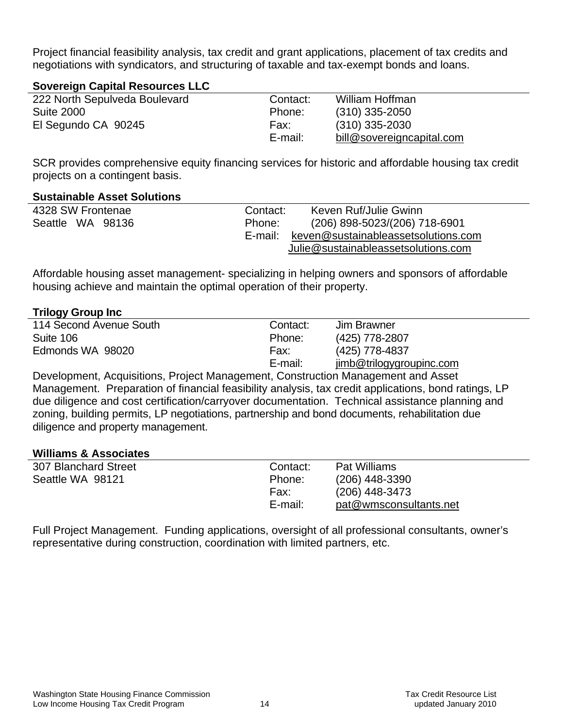Project financial feasibility analysis, tax credit and grant applications, placement of tax credits and negotiations with syndicators, and structuring of taxable and tax-exempt bonds and loans.

# **Sovereign Capital Resources LLC**

| 222 North Sepulveda Boulevard | Contact: | William Hoffman           |
|-------------------------------|----------|---------------------------|
| <b>Suite 2000</b>             | Phone:   | $(310)$ 335-2050          |
| El Segundo CA 90245           | Fax:     | $(310)$ 335-2030          |
|                               | E-mail:  | bill@sovereigncapital.com |

SCR provides comprehensive equity financing services for historic and affordable housing tax credit projects on a contingent basis.

# **Sustainable Asset Solutions**

| 4328 SW Frontenae | Contact: | Keven Ruf/Julie Gwinn               |
|-------------------|----------|-------------------------------------|
| Seattle WA 98136  | Phone:   | (206) 898-5023/(206) 718-6901       |
|                   | E-mail:  | keven@sustainableassetsolutions.com |
|                   |          | Julie@sustainableassetsolutions.com |

Affordable housing asset management- specializing in helping owners and sponsors of affordable housing achieve and maintain the optimal operation of their property.

# **Trilogy Group Inc**

| 114 Second Avenue South                                                       | Contact: | Jim Brawner              |
|-------------------------------------------------------------------------------|----------|--------------------------|
| Suite 106                                                                     | Phone:   | (425) 778-2807           |
| Edmonds WA 98020                                                              | Fax:     | (425) 778-4837           |
|                                                                               | E-mail:  | jimb@trilogygroupinc.com |
| Douglapment Agguinitiona Draiget Management Capatruction Management and Agoat |          |                          |

Development, Acquisitions, Project Management, Construction Management and Asset Management. Preparation of financial feasibility analysis, tax credit applications, bond ratings, LP due diligence and cost certification/carryover documentation. Technical assistance planning and zoning, building permits, LP negotiations, partnership and bond documents, rehabilitation due diligence and property management.

#### **Williams & Associates**

| 307 Blanchard Street | Contact: | Pat Williams           |  |
|----------------------|----------|------------------------|--|
| Seattle WA 98121     | Phone:   | $(206)$ 448-3390       |  |
|                      | Fax:     | (206) 448-3473         |  |
|                      | E-mail:  | pat@wmsconsultants.net |  |
|                      |          |                        |  |

Full Project Management. Funding applications, oversight of all professional consultants, owner's representative during construction, coordination with limited partners, etc.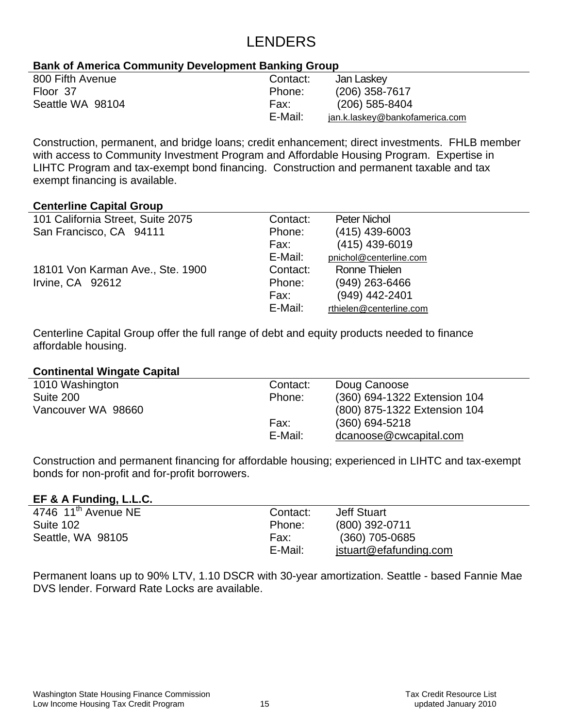# LENDERS

# **Bank of America Community Development Banking Group**

| 800 Fifth Avenue | Contact: | Jan Laskey                     |
|------------------|----------|--------------------------------|
| Floor 37         | Phone:   | $(206)$ 358-7617               |
| Seattle WA 98104 | Fax:     | $(206)$ 585-8404               |
|                  | E-Mail:  | jan.k.laskey@bankofamerica.com |

Construction, permanent, and bridge loans; credit enhancement; direct investments. FHLB member with access to Community Investment Program and Affordable Housing Program. Expertise in LIHTC Program and tax-exempt bond financing. Construction and permanent taxable and tax exempt financing is available.

#### **Centerline Capital Group**

| 101 California Street, Suite 2075 | Contact: | Peter Nichol            |
|-----------------------------------|----------|-------------------------|
| San Francisco, CA 94111           | Phone:   | $(415)$ 439-6003        |
|                                   | Fax:     | $(415)$ 439-6019        |
|                                   | E-Mail:  | pnichol@centerline.com  |
| 18101 Von Karman Ave., Ste. 1900  | Contact: | Ronne Thielen           |
| Irvine, CA 92612                  | Phone:   | (949) 263-6466          |
|                                   | Fax:     | $(949)$ 442-2401        |
|                                   | E-Mail:  | rthielen@centerline.com |
|                                   |          |                         |

Centerline Capital Group offer the full range of debt and equity products needed to finance affordable housing.

#### **Continental Wingate Capital**

| 1010 Washington    | Contact: | Doug Canoose                 |
|--------------------|----------|------------------------------|
| Suite 200          | Phone:   | (360) 694-1322 Extension 104 |
| Vancouver WA 98660 |          | (800) 875-1322 Extension 104 |
|                    | Fax:     | $(360)$ 694-5218             |
|                    | E-Mail:  | dcanoose@cwcapital.com       |
|                    |          |                              |

Construction and permanent financing for affordable housing; experienced in LIHTC and tax-exempt bonds for non-profit and for-profit borrowers.

# **EF & A Funding, L.L.C.**

| . .                             |          |                        |
|---------------------------------|----------|------------------------|
| 4746 $11^{\text{th}}$ Avenue NE | Contact: | <b>Jeff Stuart</b>     |
| Suite 102                       | Phone:   | (800) 392-0711         |
| Seattle, WA 98105               | Fax:     | $(360)$ 705-0685       |
|                                 | E-Mail:  | jstuart@efafunding.com |
|                                 |          |                        |

Permanent loans up to 90% LTV, 1.10 DSCR with 30-year amortization. Seattle - based Fannie Mae DVS lender. Forward Rate Locks are available.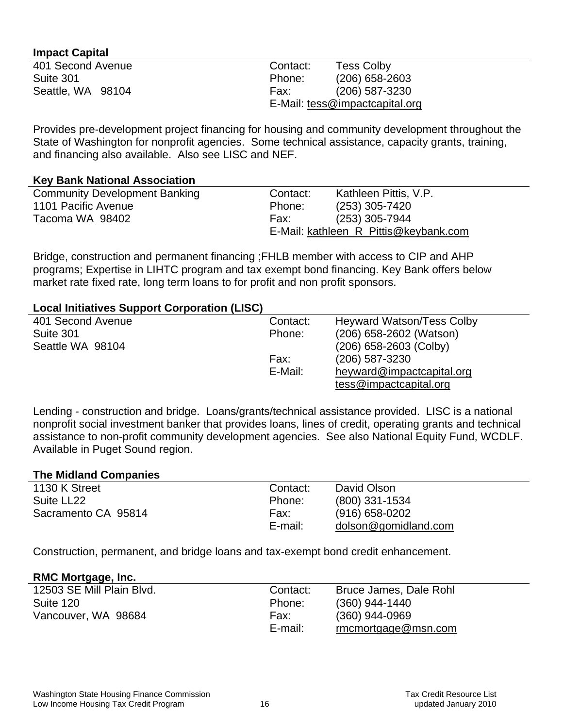### **Impact Capital**

| 401 Second Avenue | Contact: | <b>Tess Colby</b>              |
|-------------------|----------|--------------------------------|
| Suite 301         | Phone:   | $(206)$ 658-2603               |
| Seattle, WA 98104 | Fax:     | (206) 587-3230                 |
|                   |          | E-Mail: tess@impactcapital.org |

Provides pre-development project financing for housing and community development throughout the State of Washington for nonprofit agencies. Some technical assistance, capacity grants, training, and financing also available. Also see LISC and NEF.

#### **Key Bank National Association**

| <b>Community Development Banking</b> | Contact: | Kathleen Pittis, V.P.                 |
|--------------------------------------|----------|---------------------------------------|
| 1101 Pacific Avenue                  | Phone:   | $(253)$ 305-7420                      |
| Tacoma WA 98402                      | Fax:     | $(253)$ 305-7944                      |
|                                      |          | E-Mail: kathleen R Pittis@keybank.com |
|                                      |          |                                       |

Bridge, construction and permanent financing ;FHLB member with access to CIP and AHP programs; Expertise in LIHTC program and tax exempt bond financing. Key Bank offers below market rate fixed rate, long term loans to for profit and non profit sponsors.

#### **Local Initiatives Support Corporation (LISC)**

| Contact: | <b>Heyward Watson/Tess Colby</b> |  |
|----------|----------------------------------|--|
| Phone:   | (206) 658-2602 (Watson)          |  |
|          | $(206)$ 658-2603 (Colby)         |  |
| Fax:     | $(206)$ 587-3230                 |  |
| E-Mail:  | heyward@impactcapital.org        |  |
|          | tess@impatch.                    |  |
|          |                                  |  |

Lending - construction and bridge. Loans/grants/technical assistance provided. LISC is a national nonprofit social investment banker that provides loans, lines of credit, operating grants and technical assistance to non-profit community development agencies. See also National Equity Fund, WCDLF. Available in Puget Sound region.

#### **The Midland Companies**

| 1130 K Street       | Contact: | David Olson          |  |
|---------------------|----------|----------------------|--|
|                     |          |                      |  |
| Suite LL22          | Phone:   | $(800)$ 331-1534     |  |
| Sacramento CA 95814 | Fax:     | $(916)$ 658-0202     |  |
|                     | E-mail:  | dolson@gomidland.com |  |

Construction, permanent, and bridge loans and tax-exempt bond credit enhancement.

#### **RMC Mortgage, Inc.**

| 12503 SE Mill Plain Blvd. | Contact: | Bruce James, Dale Rohl |
|---------------------------|----------|------------------------|
| Suite 120                 | Phone:   | $(360)$ 944-1440       |
| Vancouver, WA 98684       | Fax:     | $(360)$ 944-0969       |
|                           | E-mail:  | rmcmortgage@msn.com    |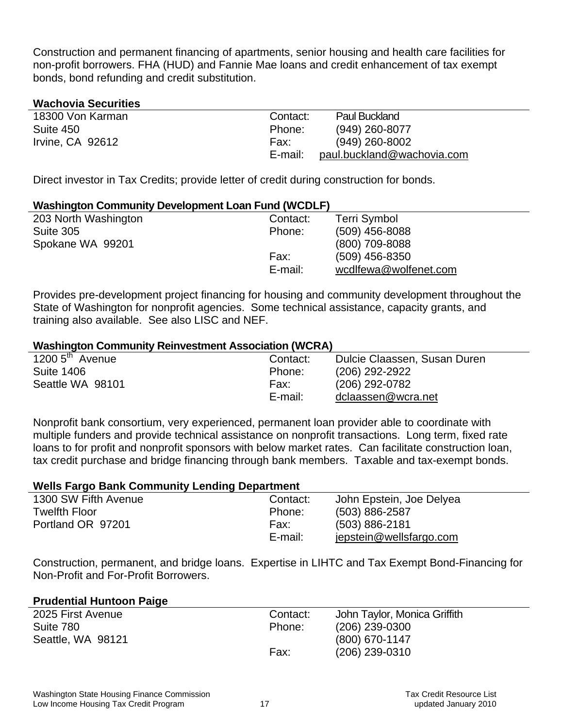Construction and permanent financing of apartments, senior housing and health care facilities for non-profit borrowers. FHA (HUD) and Fannie Mae loans and credit enhancement of tax exempt bonds, bond refunding and credit substitution.

# **Wachovia Securities**

| 18300 Von Karman | Contact: | <b>Paul Buckland</b>       |
|------------------|----------|----------------------------|
| Suite 450        | Phone:   | (949) 260-8077             |
| Irvine, CA 92612 | Fax:     | $(949)$ 260-8002           |
|                  | E-mail:  | paul.buckland@wachovia.com |

Direct investor in Tax Credits; provide letter of credit during construction for bonds.

#### **Washington Community Development Loan Fund (WCDLF)**

| 203 North Washington | Contact: | Terri Symbol          |
|----------------------|----------|-----------------------|
| Suite 305            | Phone:   | $(509)$ 456-8088      |
| Spokane WA 99201     |          | (800) 709-8088        |
|                      | Fax:     | $(509)$ 456-8350      |
|                      | E-mail:  | wcdlfewa@wolfenet.com |
|                      |          |                       |

Provides pre-development project financing for housing and community development throughout the State of Washington for nonprofit agencies. Some technical assistance, capacity grants, and training also available. See also LISC and NEF.

#### **Washington Community Reinvestment Association (WCRA)**

| 1200 $5^{\text{th}}$ Avenue | Contact: | Dulcie Claassen, Susan Duren |
|-----------------------------|----------|------------------------------|
| <b>Suite 1406</b>           | Phone:   | (206) 292-2922               |
| Seattle WA 98101            | Fax:     | (206) 292-0782               |
|                             | E-mail:  | dclaassen@wcra.net           |

Nonprofit bank consortium, very experienced, permanent loan provider able to coordinate with multiple funders and provide technical assistance on nonprofit transactions. Long term, fixed rate loans to for profit and nonprofit sponsors with below market rates. Can facilitate construction loan, tax credit purchase and bridge financing through bank members. Taxable and tax-exempt bonds.

# **Wells Fargo Bank Community Lending Department**

| 1300 SW Fifth Avenue | Contact: | John Epstein, Joe Delyea |
|----------------------|----------|--------------------------|
| <b>Twelfth Floor</b> | Phone:   | $(503) 886 - 2587$       |
| Portland OR 97201    | Fax:     | $(503) 886 - 2181$       |
|                      | E-mail:  | jepstein@wellsfargo.com  |

Construction, permanent, and bridge loans. Expertise in LIHTC and Tax Exempt Bond-Financing for Non-Profit and For-Profit Borrowers.

#### **Prudential Huntoon Paige**

| 2025 First Avenue | Contact: | John Taylor, Monica Griffith |
|-------------------|----------|------------------------------|
| Suite 780         | Phone:   | $(206)$ 239-0300             |
| Seattle, WA 98121 |          | $(800)$ 670-1147             |
|                   | Fax:     | $(206)$ 239-0310             |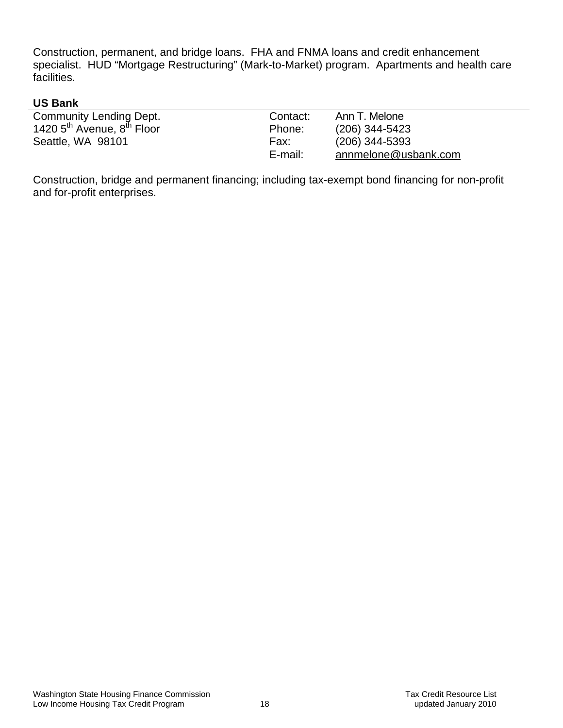Construction, permanent, and bridge loans. FHA and FNMA loans and credit enhancement specialist. HUD "Mortgage Restructuring" (Mark-to-Market) program. Apartments and health care facilities.

# **US Bank**

| <b>Community Lending Dept.</b>                     | Contact: | Ann T. Melone        |
|----------------------------------------------------|----------|----------------------|
| 1420 5 <sup>th</sup> Avenue, 8 <sup>th</sup> Floor | Phone:   | $(206)$ 344-5423     |
| Seattle, WA 98101                                  | Fax:     | $(206)$ 344-5393     |
|                                                    | E-mail:  | annmelone@usbank.com |

Construction, bridge and permanent financing; including tax-exempt bond financing for non-profit and for-profit enterprises.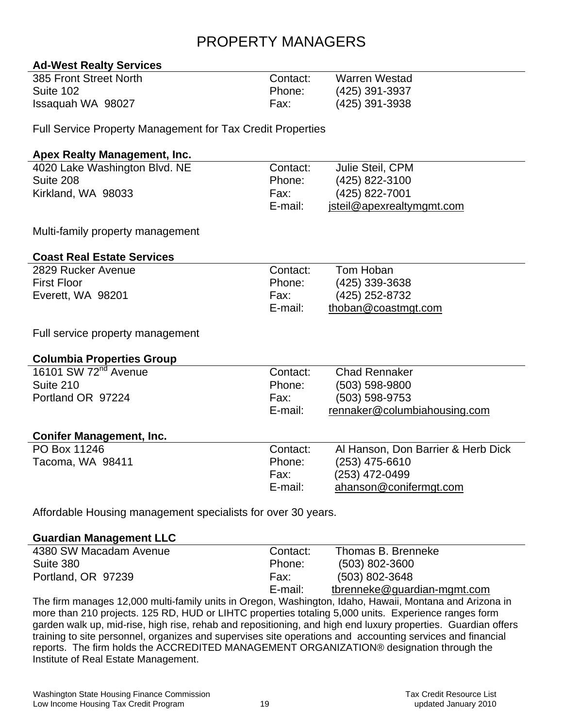# PROPERTY MANAGERS

# **Ad-West Realty Services**

| 385 Front Street North | Contact: | <b>Warren Westad</b> |
|------------------------|----------|----------------------|
| Suite 102              | Phone:   | (425) 391-3937       |
| Issaguah WA 98027      | Fax:     | (425) 391-3938       |

Full Service Property Management for Tax Credit Properties

# **Apex Realty Management, Inc.**

| 4020 Lake Washington Blvd. NE | Contact: | Julie Steil, CPM          |
|-------------------------------|----------|---------------------------|
| Suite 208                     | Phone:   | (425) 822-3100            |
| Kirkland, WA 98033            | Fax:     | (425) 822-7001            |
|                               | E-mail:  | jsteil@apexrealtymgmt.com |

Multi-family property management

# **Coast Real Estate Services**

| 2829 Rucker Avenue | Contact: | Tom Hoban           |
|--------------------|----------|---------------------|
| <b>First Floor</b> | Phone:   | $(425)$ 339-3638    |
| Everett, WA 98201  | Fax:     | (425) 252-8732      |
|                    | E-mail:  | thoban@coastmgt.com |

Full service property management

# **Columbia Properties Group**

| 16101 SW 72 <sup>nd</sup> Avenue<br>Suite 210<br>Portland OR 97224 | Contact:<br>Phone:<br>Fax:<br>E-mail: | <b>Chad Rennaker</b><br>(503) 598-9800<br>(503) 598-9753<br>rennaker@columbiahousing.com |
|--------------------------------------------------------------------|---------------------------------------|------------------------------------------------------------------------------------------|
| <b>Conifer Management, Inc.</b>                                    |                                       |                                                                                          |
| PO Box 11246                                                       | Contact:                              | Al Hanson, Don Barrier & Herb Dick                                                       |
| Tacoma, WA 98411                                                   | Phone:                                | (253) 475-6610                                                                           |
|                                                                    | Fax:                                  | (253) 472-0499                                                                           |
|                                                                    | E-mail:                               | ahanson@conifermgt.com                                                                   |

Affordable Housing management specialists for over 30 years.

#### **Guardian Management LLC**

| 4380 SW Macadam Avenue | Contact: | Thomas B. Brenneke          |
|------------------------|----------|-----------------------------|
| Suite 380              | Phone:   | $(503) 802 - 3600$          |
| Portland, OR 97239     | Fax:     | $(503) 802 - 3648$          |
|                        | E-mail:  | tbrenneke@guardian-mgmt.com |

The firm manages 12,000 multi-family units in Oregon, Washington, Idaho, Hawaii, Montana and Arizona in more than 210 projects. 125 RD, HUD or LIHTC properties totaling 5,000 units. Experience ranges form garden walk up, mid-rise, high rise, rehab and repositioning, and high end luxury properties. Guardian offers training to site personnel, organizes and supervises site operations and accounting services and financial reports. The firm holds the ACCREDITED MANAGEMENT ORGANIZATION® designation through the Institute of Real Estate Management.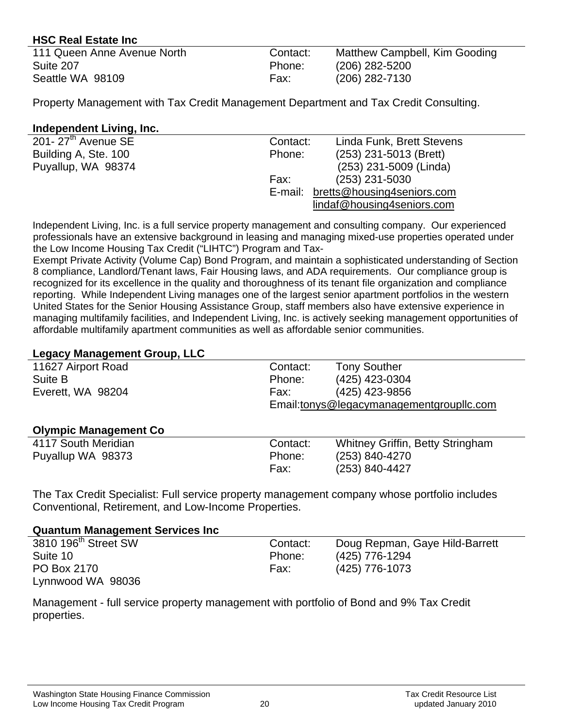# **HSC Real Estate Inc**

| 111 Queen Anne Avenue North | Contact: | Matthew Campbell, Kim Gooding |
|-----------------------------|----------|-------------------------------|
| Suite 207                   | Phone:   | $(206)$ 282-5200              |
| Seattle WA 98109            | Fax:     | $(206)$ 282-7130              |

Property Management with Tax Credit Management Department and Tax Credit Consulting.

# **Independent Living, Inc.**

| 201- $27th$ Avenue SE | Contact: | Linda Funk, Brett Stevens          |
|-----------------------|----------|------------------------------------|
| Building A, Ste. 100  | Phone:   | (253) 231-5013 (Brett)             |
| Puyallup, WA 98374    |          | (253) 231-5009 (Linda)             |
|                       | Fax:     | $(253)$ 231-5030                   |
|                       |          | E-mail: bretts@housing4seniors.com |
|                       |          | lindaf@housing4seniors.com         |
|                       |          |                                    |

Independent Living, Inc. is a full service property management and consulting company. Our experienced professionals have an extensive background in leasing and managing mixed-use properties operated under the Low Income Housing Tax Credit ("LIHTC") Program and Tax-

Exempt Private Activity (Volume Cap) Bond Program, and maintain a sophisticated understanding of Section 8 compliance, Landlord/Tenant laws, Fair Housing laws, and ADA requirements. Our compliance group is recognized for its excellence in the quality and thoroughness of its tenant file organization and compliance reporting. While Independent Living manages one of the largest senior apartment portfolios in the western United States for the Senior Housing Assistance Group, staff members also have extensive experience in managing multifamily facilities, and Independent Living, Inc. is actively seeking management opportunities of affordable multifamily apartment communities as well as affordable senior communities.

# **Legacy Management Group, LLC**

| _____________                |          |                                          |
|------------------------------|----------|------------------------------------------|
| 11627 Airport Road           | Contact: | <b>Tony Souther</b>                      |
| Suite B                      | Phone:   | (425) 423-0304                           |
| Everett, WA 98204            | Fax:     | (425) 423-9856                           |
|                              |          | Email:tonys@legacymanagementgroupllc.com |
|                              |          |                                          |
| <b>Olympic Management Co</b> |          |                                          |
| 4117 South Meridian          | Contact: | <b>Whitney Griffin, Betty Stringham</b>  |
| Puyallup WA 98373            | Phone:   | (253) 840-4270                           |
|                              | Fax:     | (253) 840-4427                           |
|                              |          |                                          |

The Tax Credit Specialist: Full service property management company whose portfolio includes Conventional, Retirement, and Low-Income Properties.

# **Quantum Management Services Inc**

| 3810 196 <sup>th</sup> Street SW | Contact: | Doug Repman, Gaye Hild-Barrett |
|----------------------------------|----------|--------------------------------|
| Suite 10                         | Phone:   | (425) 776-1294                 |
| PO Box 2170                      | Fax:     | (425) 776-1073                 |
| Lynnwood WA 98036                |          |                                |

Management - full service property management with portfolio of Bond and 9% Tax Credit properties.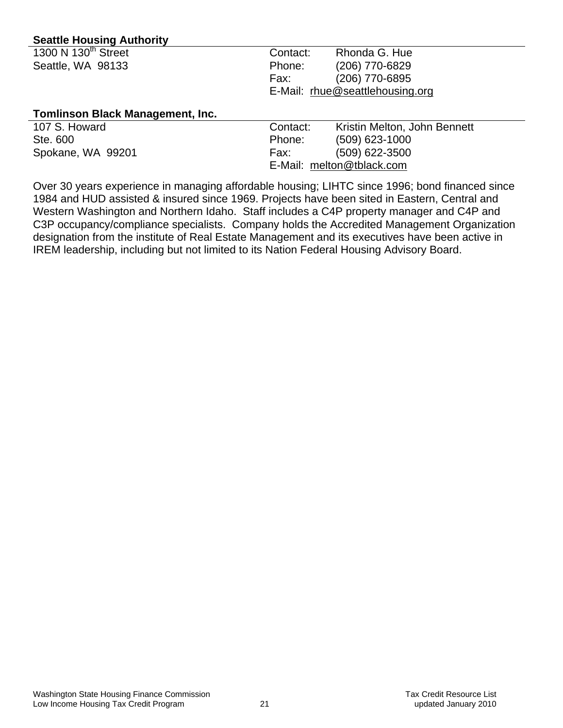# **Seattle Housing Authority**

| 1300 N 130 <sup>th</sup> Street | Contact: | Rhonda G. Hue                   |
|---------------------------------|----------|---------------------------------|
| Seattle, WA 98133               | Phone:   | (206) 770-6829                  |
|                                 | Fax:     | (206) 770-6895                  |
|                                 |          | E-Mail: rhue@seattlehousing.org |
|                                 |          |                                 |

#### **Tomlinson Black Management, Inc.**

| 107 S. Howard     | Contact: | Kristin Melton, John Bennett |
|-------------------|----------|------------------------------|
| Ste. 600          | Phone:   | $(509)$ 623-1000             |
| Spokane, WA 99201 | Fax:     | $(509)$ 622-3500             |
|                   |          | E-Mail: melton@tblack.com    |

Over 30 years experience in managing affordable housing; LIHTC since 1996; bond financed since 1984 and HUD assisted & insured since 1969. Projects have been sited in Eastern, Central and Western Washington and Northern Idaho. Staff includes a C4P property manager and C4P and C3P occupancy/compliance specialists. Company holds the Accredited Management Organization designation from the institute of Real Estate Management and its executives have been active in IREM leadership, including but not limited to its Nation Federal Housing Advisory Board.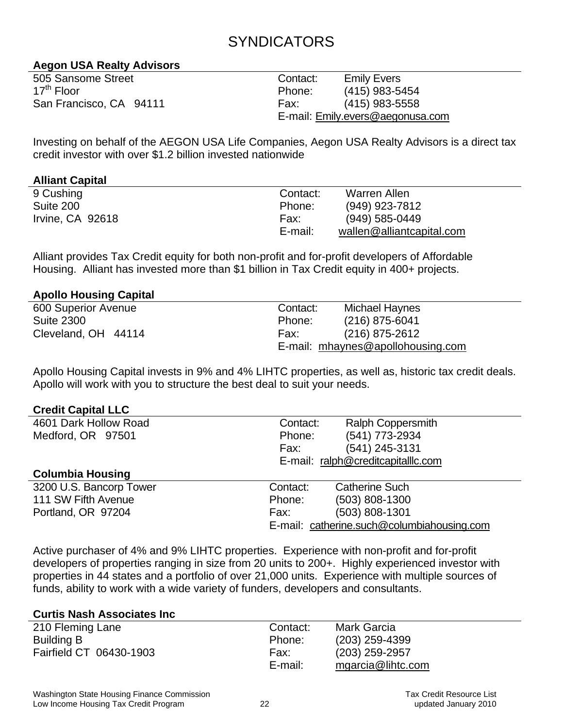# SYNDICATORS

# **Aegon USA Realty Advisors**

| 505 Sansome Street      |  |
|-------------------------|--|
| 17 <sup>th</sup> Floor  |  |
| San Francisco, CA 94111 |  |

Contact: Emily Evers Phone: (415) 983-5454 Fax: (415) 983-5558 E-mail: [Emily.evers@aegonusa.com](mailto:Emily.evers@aegonusa.com) 

Investing on behalf of the AEGON USA Life Companies, Aegon USA Realty Advisors is a direct tax credit investor with over \$1.2 billion invested nationwide

# **Alliant Capital**

| 9 Cushing        | Contact: | Warren Allen              |
|------------------|----------|---------------------------|
| Suite 200        | Phone:   | (949) 923-7812            |
| Irvine, CA 92618 | Fax:     | $(949) 585 - 0449$        |
|                  | E-mail:  | wallen@alliantcapital.com |

Alliant provides Tax Credit equity for both non-profit and for-profit developers of Affordable Housing. Alliant has invested more than \$1 billion in Tax Credit equity in 400+ projects.

# **Apollo Housing Capital**

| 600 Superior Avenue | Contact: | Michael Haynes                    |
|---------------------|----------|-----------------------------------|
| <b>Suite 2300</b>   | Phone:   | $(216)$ 875-6041                  |
| Cleveland, OH 44114 | Fax:     | $(216)$ 875-2612                  |
|                     |          | E-mail: mhaynes@apollohousing.com |

Apollo Housing Capital invests in 9% and 4% LIHTC properties, as well as, historic tax credit deals. Apollo will work with you to structure the best deal to suit your needs.

#### **Credit Capital LLC**

| 4601 Dark Hollow Road   | Contact: | <b>Ralph Coppersmith</b>                   |
|-------------------------|----------|--------------------------------------------|
| Medford, OR 97501       | Phone:   | (541) 773-2934                             |
|                         | Fax:     | (541) 245-3131                             |
|                         |          | E-mail: ralph@creditcapitalllc.com         |
| <b>Columbia Housing</b> |          |                                            |
| 3200 U.S. Bancorp Tower | Contact: | <b>Catherine Such</b>                      |
| 111 SW Fifth Avenue     | Phone:   | $(503)$ 808-1300                           |
| Portland, OR 97204      | Fax:     | $(503) 808 - 1301$                         |
|                         |          | E-mail: catherine.such@columbiahousing.com |
|                         |          |                                            |

Active purchaser of 4% and 9% LIHTC properties. Experience with non-profit and for-profit developers of properties ranging in size from 20 units to 200+. Highly experienced investor with properties in 44 states and a portfolio of over 21,000 units. Experience with multiple sources of funds, ability to work with a wide variety of funders, developers and consultants.

#### **Curtis Nash Associates Inc**

| 210 Fleming Lane        | Contact: | Mark Garcia       |
|-------------------------|----------|-------------------|
| Building B              | Phone:   | $(203)$ 259-4399  |
| Fairfield CT 06430-1903 | Fax:     | $(203)$ 259-2957  |
|                         | E-mail:  | mgarcia@lihtc.com |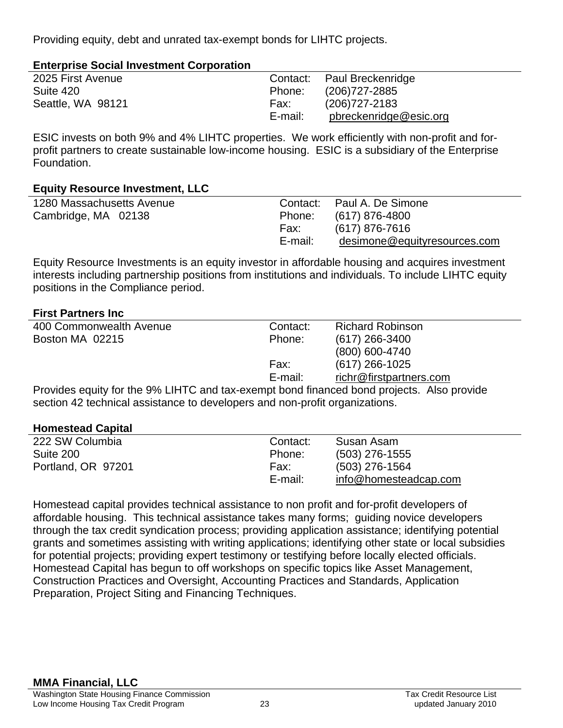Providing equity, debt and unrated tax-exempt bonds for LIHTC projects.

| <b>Enterprise Social Investment Corporation</b> |  |
|-------------------------------------------------|--|
|-------------------------------------------------|--|

| 2025 First Avenue |         | Contact: Paul Breckenridge |
|-------------------|---------|----------------------------|
| Suite 420         | Phone:  | (206)727-2885              |
| Seattle, WA 98121 | Fax:    | (206) 727-2183             |
|                   | E-mail: | pbreckenridge@esic.org     |

ESIC invests on both 9% and 4% LIHTC properties. We work efficiently with non-profit and forprofit partners to create sustainable low-income housing. ESIC is a subsidiary of the Enterprise Foundation.

# **Equity Resource Investment, LLC**

| 1280 Massachusetts Avenue |         | Contact: Paul A. De Simone   |
|---------------------------|---------|------------------------------|
| Cambridge, MA 02138       | Phone:  | (617) 876-4800               |
|                           | Fax:    | (617) 876-7616               |
|                           | E-mail: | desimone@equityresources.com |
|                           |         |                              |

Equity Resource Investments is an equity investor in affordable housing and acquires investment interests including partnership positions from institutions and individuals. To include LIHTC equity positions in the Compliance period.

# **First Partners Inc**

| 400 Commonwealth Avenue                                                                   | Contact: | <b>Richard Robinson</b> |  |
|-------------------------------------------------------------------------------------------|----------|-------------------------|--|
| Boston MA 02215                                                                           | Phone:   | $(617)$ 266-3400        |  |
|                                                                                           |          | (800) 600-4740          |  |
|                                                                                           | Fax:     | $(617)$ 266-1025        |  |
|                                                                                           | E-mail:  | richr@firstpartners.com |  |
| Provides equity for the 9% LIHTC and tax-exempt bond financed bond projects. Also provide |          |                         |  |

section 42 technical assistance to developers and non-profit organizations.

# **Homestead Capital**

| 222 SW Columbia    | Contact: | Susan Asam            |
|--------------------|----------|-----------------------|
| Suite 200          | Phone:   | $(503)$ 276-1555      |
| Portland, OR 97201 | Fax:     | (503) 276-1564        |
|                    | E-mail:  | info@homesteadcap.com |

Homestead capital provides technical assistance to non profit and for-profit developers of affordable housing. This technical assistance takes many forms; guiding novice developers through the tax credit syndication process; providing application assistance; identifying potential grants and sometimes assisting with writing applications; identifying other state or local subsidies for potential projects; providing expert testimony or testifying before locally elected officials. Homestead Capital has begun to off workshops on specific topics like Asset Management, Construction Practices and Oversight, Accounting Practices and Standards, Application Preparation, Project Siting and Financing Techniques.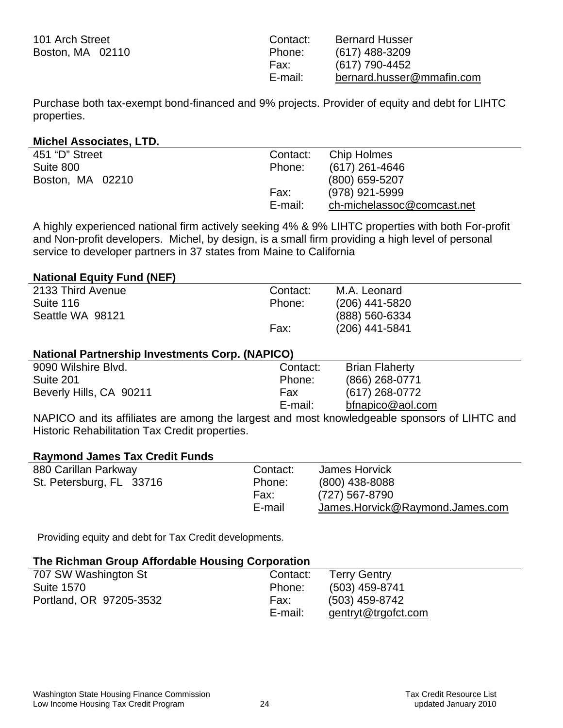| 101 Arch Street  |  |  |
|------------------|--|--|
| Boston, MA 02110 |  |  |

| Contact: | <b>Bernard Husser</b>     |
|----------|---------------------------|
| Phone:   | $(617)$ 488-3209          |
| Fax:     | (617) 790-4452            |
| E-mail:  | bernard.husser@mmafin.com |

Purchase both tax-exempt bond-financed and 9% projects. Provider of equity and debt for LIHTC properties.

#### **Michel Associates, LTD.**

| 451 "D" Street   | Contact: | Chip Holmes                |
|------------------|----------|----------------------------|
| Suite 800        | Phone:   | (617) 261-4646             |
| Boston, MA 02210 |          | (800) 659-5207             |
|                  | Fax:     | (978) 921-5999             |
|                  | E-mail:  | ch-michelassoc@comcast.net |

A highly experienced national firm actively seeking 4% & 9% LIHTC properties with both For-profit and Non-profit developers. Michel, by design, is a small firm providing a high level of personal service to developer partners in 37 states from Maine to California

#### **National Equity Fund (NEF)**

| 2133 Third Avenue | Contact: | M.A. Leonard     |
|-------------------|----------|------------------|
| Suite 116         | Phone:   | $(206)$ 441-5820 |
| Seattle WA 98121  |          | (888) 560-6334   |
|                   | Fax:     | (206) 441-5841   |

#### **National Partnership Investments Corp. (NAPICO)**

| 9090 Wilshire Blvd.     | Contact: | <b>Brian Flaherty</b> |  |
|-------------------------|----------|-----------------------|--|
| Suite 201               | Phone:   | $(866)$ 268-0771      |  |
| Beverly Hills, CA 90211 | Fax      | (617) 268-0772        |  |
|                         | E-mail:  | bfnapico@aol.com      |  |
|                         |          |                       |  |

NAPICO and its affiliates are among the largest and most knowledgeable sponsors of LIHTC and Historic Rehabilitation Tax Credit properties.

#### **Raymond James Tax Credit Funds**

| 880 Carillan Parkway     | Contact: | James Horvick                   |
|--------------------------|----------|---------------------------------|
| St. Petersburg, FL 33716 | Phone:   | $(800)$ 438-8088                |
|                          | Fax:     | (727) 567-8790                  |
|                          | E-mail   | James.Horvick@Raymond.James.com |

E-mail: [gentryt@trgofct.com](mailto:gentryt@trgofct.com) 

Providing equity and debt for Tax Credit developments.

#### **The Richman Group Affordable Housing Corporation**  707 SW Washington St Suite 1570 Portland, OR 97205-3532 Contact: Terry Gentry Phone: (503) 459-8741 Fax: (503) 459-8742